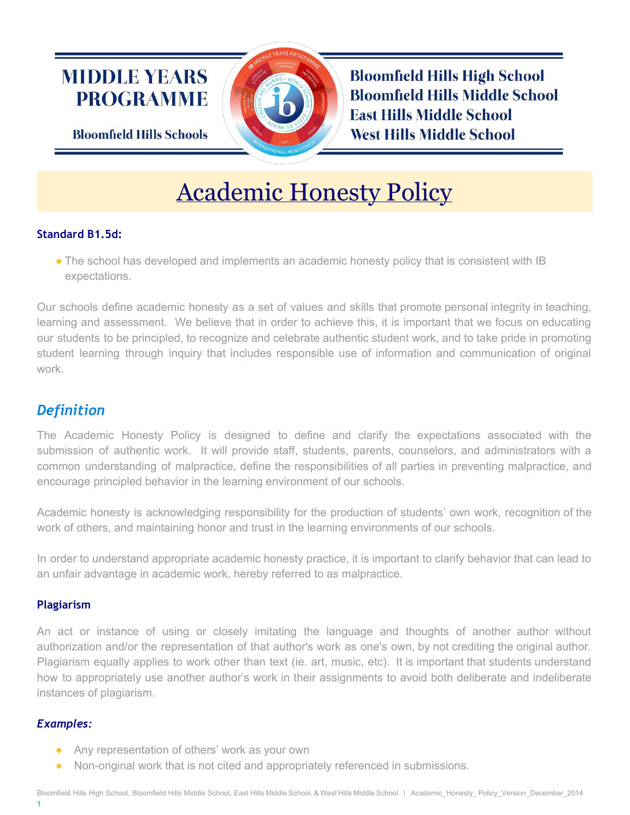# **MIDDLE YEARS PROGRAMME**

**Bloomfield Hills Schools** 

**Bloomfield Hills High School Bloomfield Hills Middle School East Hills Middle School West Hills Middle School** 

# Academic Honesty Policy

# **Standard B1.5d:**

• The school has developed and implements an academic honesty policy that is consistent with IB expectations.

Our schools define academic honesty as a set of values and skills that promote personal integrity in teaching, learning and assessment. We believe that in order to achieve this, it is important that we focus on educating our students to be principled, to recognize and celebrate authentic student work, and to take pride in promoting student learning through inquiry that includes responsible use of information and communication of original work.

# *Definition*

The Academic Honesty Policy is designed to define and clarify the expectations associated with the submission of authentic work. It will provide staff, students, parents, counselors, and administrators with a common understanding of malpractice, define the responsibilities of all parties in preventing malpractice, and encourage principled behavior in the learning environment of our schools.

Academic honesty is acknowledging responsibility for the production of students' own work, recognition of the work of others, and maintaining honor and trust in the learning environments of our schools.

In order to understand appropriate academic honesty practice, it is important to clarify behavior that can lead to an unfair advantage in academic work, hereby referred to as malpractice.

# **Plagiarism**

An act or instance of using or closely imitating the language and thoughts of another author without authorization and/or the representation of that author's work as one's own, by not crediting the original author. Plagiarism equally applies to work other than text (ie. art, music, etc). It is important that students understand how to appropriately use another author's work in their assignments to avoid both deliberate and indeliberate instances of plagiarism.

# *Examples:*

- Any representation of others' work as your own
- Non-original work that is not cited and appropriately referenced in submissions.

1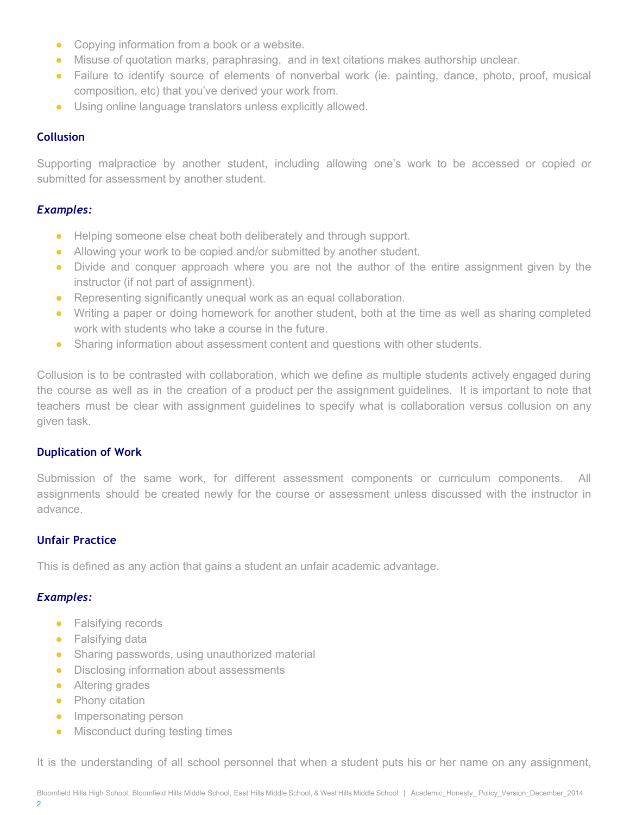- Copying information from a book or a website.
- Misuse of quotation marks, paraphrasing, and in text citations makes authorship unclear.
- Failure to identify source of elements of nonverbal work (ie. painting, dance, photo, proof, musical composition, etc) that you've derived your work from.
- Using online language translators unless explicitly allowed.

### **Collusion**

Supporting malpractice by another student, including allowing one's work to be accessed or copied or submitted for assessment by another student.

### *Examples:*

- Helping someone else cheat both deliberately and through support.
- Allowing your work to be copied and/or submitted by another student.
- Divide and conquer approach where you are not the author of the entire assignment given by the instructor (if not part of assignment).
- Representing significantly unequal work as an equal collaboration.
- Writing a paper or doing homework for another student, both at the time as well as sharing completed work with students who take a course in the future.
- Sharing information about assessment content and questions with other students.

Collusion is to be contrasted with collaboration, which we define as multiple students actively engaged during the course as well as in the creation of a product per the assignment guidelines. It is important to note that teachers must be clear with assignment guidelines to specify what is collaboration versus collusion on any given task.

### **Duplication of Work**

Submission of the same work, for different assessment components or curriculum components. All assignments should be created newly for the course or assessment unless discussed with the instructor in advance.

# **Unfair Practice**

This is defined as any action that gains a student an unfair academic advantage.

# *Examples:*

- Falsifying records
- Falsifying data
- Sharing passwords, using unauthorized material
- Disclosing information about assessments
- Altering grades
- Phony citation
- Impersonating person
- Misconduct during testing times

It is the understanding of all school personnel that when a student puts his or her name on any assignment,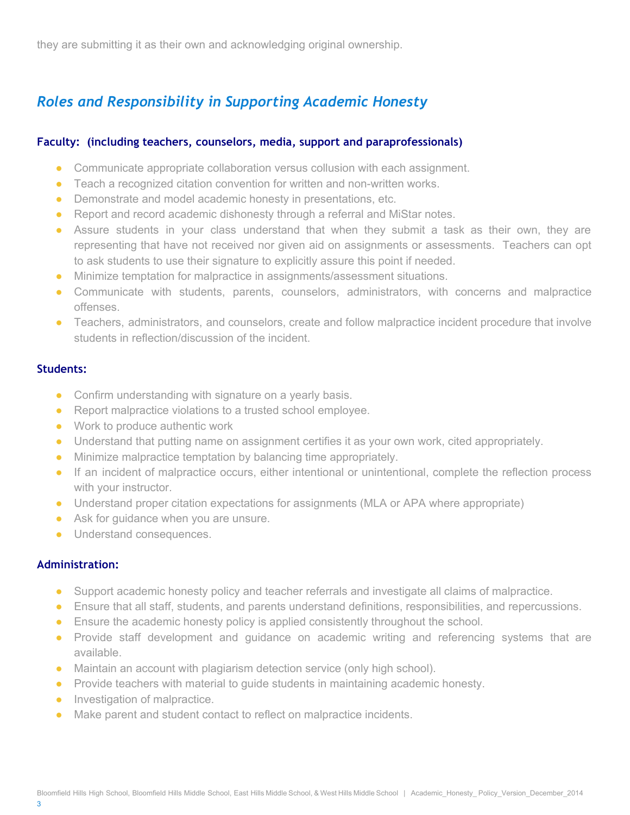they are submitting it as their own and acknowledging original ownership.

# *Roles and Responsibility in Supporting Academic Honesty*

### **Faculty: (including teachers, counselors, media, support and paraprofessionals)**

- Communicate appropriate collaboration versus collusion with each assignment.
- Teach a recognized citation convention for written and non-written works.
- Demonstrate and model academic honesty in presentations, etc.
- Report and record academic dishonesty through a referral and MiStar notes.
- Assure students in your class understand that when they submit a task as their own, they are representing that have not received nor given aid on assignments or assessments. Teachers can opt to ask students to use their signature to explicitly assure this point if needed.
- Minimize temptation for malpractice in assignments/assessment situations.
- Communicate with students, parents, counselors, administrators, with concerns and malpractice offenses.
- Teachers, administrators, and counselors, create and follow malpractice incident procedure that involve students in reflection/discussion of the incident.

### **Students:**

- Confirm understanding with signature on a yearly basis.
- Report malpractice violations to a trusted school employee.
- Work to produce authentic work
- Understand that putting name on assignment certifies it as your own work, cited appropriately.
- Minimize malpractice temptation by balancing time appropriately.
- If an incident of malpractice occurs, either intentional or unintentional, complete the reflection process with your instructor.
- Understand proper citation expectations for assignments (MLA or APA where appropriate)
- Ask for guidance when you are unsure.
- Understand consequences.

### **Administration:**

- Support academic honesty policy and teacher referrals and investigate all claims of malpractice.
- Ensure that all staff, students, and parents understand definitions, responsibilities, and repercussions.
- Ensure the academic honesty policy is applied consistently throughout the school.
- Provide staff development and guidance on academic writing and referencing systems that are available.
- Maintain an account with plagiarism detection service (only high school).
- Provide teachers with material to quide students in maintaining academic honesty.
- Investigation of malpractice.
- Make parent and student contact to reflect on malpractice incidents.